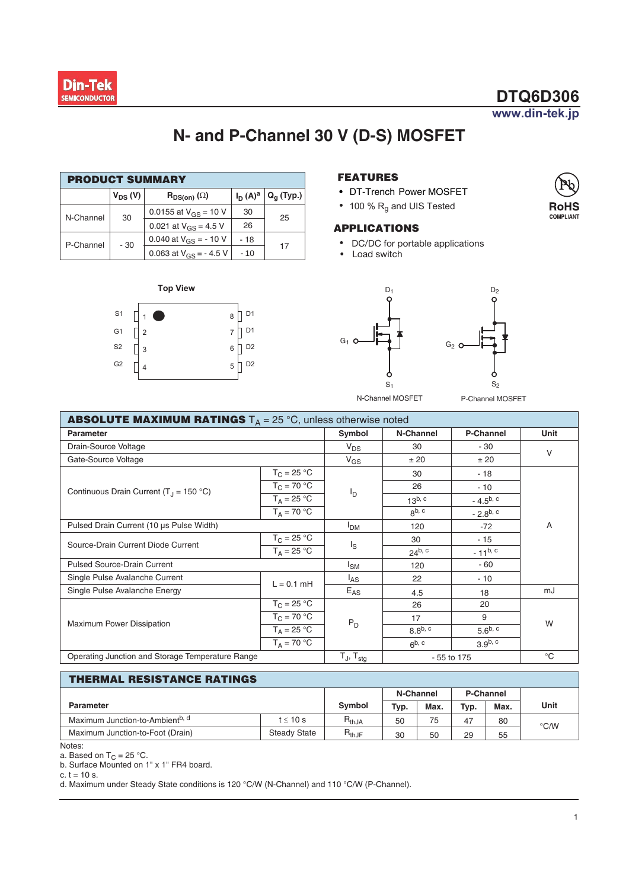

# $DTQ6D306$

www.din-tek.jp

## **N- and P-Channel 0 V (D-S) MOSFET**

| <b>PRODUCT SUMMARY</b> |              |                                        |            |              |  |  |  |  |  |
|------------------------|--------------|----------------------------------------|------------|--------------|--|--|--|--|--|
|                        | $V_{DS} (V)$ | $\mathsf{R}_{\mathsf{DS}(on)}(\Omega)$ | $I_D(A)^a$ | $Q_q$ (Typ.) |  |  |  |  |  |
| N-Channel              | 30           | 0.0155 at $V_{GS}$ = 10 V              | 30         | 25           |  |  |  |  |  |
|                        |              | 0.021 at $V_{GS}$ = 4.5 V              | 26         |              |  |  |  |  |  |
| P-Channel              | $-30$        | 0.040 at $V_{GS}$ = -10 V              | $-18$      |              |  |  |  |  |  |
|                        |              | 0.063 at $V_{GS}$ = - 4.5 V            | $-10$      | 17           |  |  |  |  |  |

**Top View** 

D<sub>1</sub>  $D<sub>1</sub>$ D<sub>2</sub>  $5$  D<sub>2</sub>  $\overline{6}$  $\overline{7}$ 8

٦

**S1**  $G<sub>1</sub>$ **S2**  $G<sub>2</sub>$ 

 $\overline{2}$ 3  $\overline{4}$ 

П П

 $\sqrt{2}$ 

1

#### **FEATURES**

- **•** DT-Trench Power MOSFET
- 100 %  $R_q$  and UIS Tested

#### **APPLICATIONS**

- DC/DC for portable applications
- Load switch



P-Channel MOSFET

| <b>ABSOLUTE MAXIMUM RATINGS</b> $T_A = 25^{\circ}C$ , unless otherwise noted |                          |                 |                    |                     |    |  |  |  |
|------------------------------------------------------------------------------|--------------------------|-----------------|--------------------|---------------------|----|--|--|--|
| <b>Parameter</b>                                                             | Symbol                   | N-Channel       | <b>P-Channel</b>   | Unit                |    |  |  |  |
| Drain-Source Voltage                                                         | $V_{DS}$                 | 30              | $-30$              | V                   |    |  |  |  |
| Gate-Source Voltage                                                          | $V_{GS}$                 | ± 20            |                    |                     |    |  |  |  |
|                                                                              | $T_C = 25 °C$            |                 | 30                 | $-18$               |    |  |  |  |
| Continuous Drain Current (T <sub>.1</sub> = 150 °C)                          | $T_C = 70 °C$            | ΙD              | 26                 | $-10$               |    |  |  |  |
|                                                                              | $T_A = 25 °C$            |                 | $13^{b, c}$        | $-4.5^{b, c}$       |    |  |  |  |
|                                                                              | $T_A = 70 °C$            |                 | 8 <sup>b, c</sup>  | $-2.8^{b, c}$       |    |  |  |  |
| Pulsed Drain Current (10 µs Pulse Width)                                     | I <sub>DM</sub>          | 120             | $-72$              | A                   |    |  |  |  |
| Source-Drain Current Diode Current                                           | $T_C = 25 °C$            | ls              | 30                 | $-15$               |    |  |  |  |
|                                                                              | $T_A = 25 °C$            |                 | 24 <sup>b, c</sup> | $-11^{b, c}$        |    |  |  |  |
| <b>Pulsed Source-Drain Current</b>                                           | I <sub>SM</sub>          | 120             | $-60$              |                     |    |  |  |  |
| Single Pulse Avalanche Current<br>$L = 0.1$ mH                               |                          | <sup>I</sup> AS | 22                 | $-10$               |    |  |  |  |
| Single Pulse Avalanche Energy                                                |                          | $E_{AS}$        | 4.5                | 18                  | mJ |  |  |  |
|                                                                              | $T_{C} = 25 °C$          |                 | 26                 | 20                  |    |  |  |  |
| Maximum Power Dissipation                                                    | $T_C = 70 °C$            | $P_D$           | 17                 | 9                   | W  |  |  |  |
|                                                                              | $T_A = 25 °C$            |                 | $8.8^{b, c}$       | 5.6 $b, c$          |    |  |  |  |
|                                                                              | $T_A = 70 °C$            |                 | $6^{b, c}$         | 3.9 <sup>b, c</sup> |    |  |  |  |
| Operating Junction and Storage Temperature Range                             | $T_J$ , $T_{\text{stg}}$ |                 | - 55 to 175        |                     |    |  |  |  |

#### **THERMAL RESISTANCE RATINGS**

|                                             |                     | N-Channel  |      | <b>P-Channel</b> |                     |      |               |  |  |  |
|---------------------------------------------|---------------------|------------|------|------------------|---------------------|------|---------------|--|--|--|
| <b>Parameter</b>                            | Symbol              | Typ.       | Max. | Typ.             | Max.                | Unit |               |  |  |  |
| Maximum Junction-to-Ambient <sup>b, d</sup> | $t \leq 10$ s       | $R_{thJA}$ | 50   | 75               | $\overline{ }$<br>4 | 80   | $\degree$ C/W |  |  |  |
| Maximum Junction-to-Foot (Drain)            | <b>Steady State</b> | $R_{thJF}$ | 30   | 50               | 29                  | 55   |               |  |  |  |

Notes:

a. Based on T<sub>C</sub> = 25 °C.<br>b. Surface Mounted on 1" x 1" FR4 board.

c.  $t = 10$  s.

d. Maximum under Steady State conditions is 120 °C/W (N-Channel) and 110 °C/W (P-Channel).

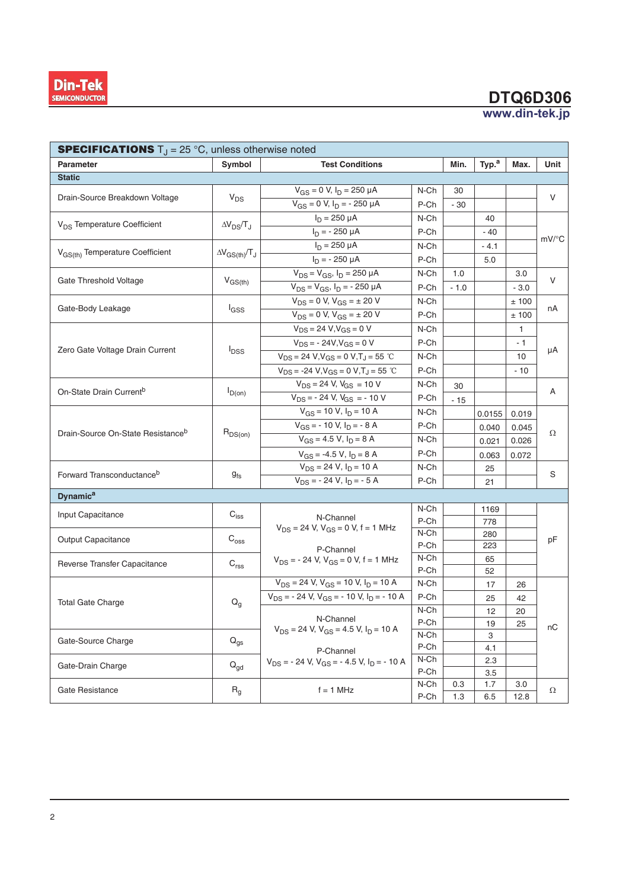# **'74'**

|                                                                                                                                                                                                                                                                                                                                                                                                                                                                                                                                                                |                             |                                                                            |                    |         |                   | www.din-tek.jp              |                        |
|----------------------------------------------------------------------------------------------------------------------------------------------------------------------------------------------------------------------------------------------------------------------------------------------------------------------------------------------------------------------------------------------------------------------------------------------------------------------------------------------------------------------------------------------------------------|-----------------------------|----------------------------------------------------------------------------|--------------------|---------|-------------------|-----------------------------|------------------------|
|                                                                                                                                                                                                                                                                                                                                                                                                                                                                                                                                                                |                             |                                                                            |                    |         |                   |                             |                        |
|                                                                                                                                                                                                                                                                                                                                                                                                                                                                                                                                                                | Symbol                      | <b>Test Conditions</b>                                                     |                    | Min.    | Typ. <sup>a</sup> | Max.                        | Unit                   |
|                                                                                                                                                                                                                                                                                                                                                                                                                                                                                                                                                                |                             |                                                                            |                    |         |                   |                             |                        |
|                                                                                                                                                                                                                                                                                                                                                                                                                                                                                                                                                                | $V_{DS}$                    | $V_{GS} = 0$ V, $I_D = 250 \mu A$                                          | N-Ch               | 30      |                   |                             | V                      |
|                                                                                                                                                                                                                                                                                                                                                                                                                                                                                                                                                                |                             | $V_{GS} = 0 V, I_D = -250 \mu A$                                           | $P$ -Ch            | $-30$   |                   |                             |                        |
| <b>SPECIFICATIONS</b> $T_J = 25^\circ \text{C}$ , unless otherwise noted<br>Parameter<br><b>Static</b><br>Drain-Source Breakdown Voltage<br>V <sub>DS</sub> Temperature Coefficient<br>V <sub>GS(th)</sub> Temperature Coefficient<br>Gate Threshold Voltage<br>Gate-Body Leakage<br>Zero Gate Voltage Drain Current<br>On-State Drain Current <sup>b</sup><br>Drain-Source On-State Resistance <sup>b</sup><br>Forward Transconductance <sup>b</sup><br><b>Dynamic<sup>a</sup></b><br>Input Capacitance<br>Output Capacitance<br>Reverse Transfer Capacitance | $\Delta V_{DS}/T_J$         | $I_D = 250 \mu A$                                                          | N-Ch               |         | 40                |                             |                        |
| <b>Din-Tek</b><br><b>SEMICONDUCTOR</b><br><b>Total Gate Charge</b><br>Gate-Source Charge<br>Gate-Drain Charge                                                                                                                                                                                                                                                                                                                                                                                                                                                  |                             | $I_D = -250 \mu A$                                                         | P-Ch               |         | - 40              |                             | $mV$ /°C               |
|                                                                                                                                                                                                                                                                                                                                                                                                                                                                                                                                                                | $\Delta V_{GS(th)}/T_J$     | $I_D = 250 \mu A$                                                          | N-Ch               |         | $-4.1$            |                             |                        |
|                                                                                                                                                                                                                                                                                                                                                                                                                                                                                                                                                                |                             | $I_D$ = - 250 µA                                                           | $P$ -Ch            |         | 5.0               |                             |                        |
|                                                                                                                                                                                                                                                                                                                                                                                                                                                                                                                                                                | $V_{GS(th)}$                | $V_{DS} = V_{GS}$ , $I_D = 250 \mu A$                                      | $N$ -Ch            | 1.0     |                   | 3.0                         | $\vee$                 |
|                                                                                                                                                                                                                                                                                                                                                                                                                                                                                                                                                                |                             | $V_{DS} = V_{GS}, I_D = -250 \mu A$                                        | P-Ch               | $-1.0$  |                   | $-3.0$                      |                        |
|                                                                                                                                                                                                                                                                                                                                                                                                                                                                                                                                                                | l <sub>GSS</sub>            | $V_{DS} = 0$ V, $V_{GS} = \pm 20$ V<br>$V_{DS} = 0$ V, $V_{GS} = \pm 20$ V | N-Ch               |         |                   | ± 100                       | nA                     |
|                                                                                                                                                                                                                                                                                                                                                                                                                                                                                                                                                                |                             | $V_{DS} = 24 V, V_{GS} = 0 V$                                              | P-Ch<br>N-Ch       |         |                   | $\pm$ 100<br>$\overline{1}$ |                        |
|                                                                                                                                                                                                                                                                                                                                                                                                                                                                                                                                                                | $I_{DSS}$                   | $V_{DS} = -24V, V_{GS} = 0 V$                                              | P-Ch               |         |                   | $-1$                        | μA                     |
|                                                                                                                                                                                                                                                                                                                                                                                                                                                                                                                                                                |                             | $V_{DS} = 24 V, V_{GS} = 0 V, T_J = 55 °C$                                 | N-Ch               |         |                   | 10                          |                        |
|                                                                                                                                                                                                                                                                                                                                                                                                                                                                                                                                                                |                             | $V_{DS} = -24 V, V_{GS} = 0 V, T_J = 55 °C$                                | $P$ -Ch            |         |                   | $-10$                       |                        |
|                                                                                                                                                                                                                                                                                                                                                                                                                                                                                                                                                                | $I_{D(0n)}$                 | $V_{DS}$ = 24 V, $V_{GS}$ = 10 V                                           | N-Ch               | 30      |                   |                             | A                      |
|                                                                                                                                                                                                                                                                                                                                                                                                                                                                                                                                                                |                             | $V_{DS}$ = - 24 V, $V_{GS}$ = - 10 V                                       | $P$ -Ch            | $-15$   |                   |                             |                        |
|                                                                                                                                                                                                                                                                                                                                                                                                                                                                                                                                                                |                             | $V_{GS}$ = 10 V, $I_D$ = 10 A                                              | N-Ch               |         | $0.0155$ 0.019    |                             | $\Omega$               |
|                                                                                                                                                                                                                                                                                                                                                                                                                                                                                                                                                                |                             | $V_{GS}$ = - 10 V, $I_D$ = - 8 A                                           | P-Ch               |         | 0.040             | 0.045                       |                        |
|                                                                                                                                                                                                                                                                                                                                                                                                                                                                                                                                                                | $R_{DS(on)}$                | $V_{GS} = 4.5 V, I_D = 8 A$                                                | N-Ch               |         | 0.021             | 0.026                       |                        |
|                                                                                                                                                                                                                                                                                                                                                                                                                                                                                                                                                                |                             | $V_{GS} = -4.5 V, I_D = 8 A$                                               | P-Ch               |         | $0.063$ 0.072     |                             |                        |
|                                                                                                                                                                                                                                                                                                                                                                                                                                                                                                                                                                |                             | $V_{DS}$ = 24 V, $I_D$ = 10 A                                              | $N$ -Ch            |         | 25                |                             | S                      |
|                                                                                                                                                                                                                                                                                                                                                                                                                                                                                                                                                                | $g_{\mathsf{fs}}$           | $V_{DS}$ = - 24 V, $I_D$ = - 5 A                                           | $P$ -Ch            |         | 21                |                             |                        |
|                                                                                                                                                                                                                                                                                                                                                                                                                                                                                                                                                                |                             |                                                                            |                    |         |                   |                             |                        |
|                                                                                                                                                                                                                                                                                                                                                                                                                                                                                                                                                                | $\mathsf{C}_{\mathsf{iss}}$ | N-Channel                                                                  | N-Ch               |         | 1169              |                             |                        |
|                                                                                                                                                                                                                                                                                                                                                                                                                                                                                                                                                                |                             | $V_{DS}$ = 24 V, $V_{GS}$ = 0 V, f = 1 MHz                                 | $P$ -Ch<br>$N$ -Ch |         | 778               |                             | pF                     |
|                                                                                                                                                                                                                                                                                                                                                                                                                                                                                                                                                                | $\mathrm{C_{oss}}$          |                                                                            | P-Ch               |         | 280<br>223        |                             |                        |
|                                                                                                                                                                                                                                                                                                                                                                                                                                                                                                                                                                |                             | P-Channel<br>$V_{DS}$ = - 24 V, $V_{GS}$ = 0 V, f = 1 MHz                  | N-Ch               |         | 65                |                             |                        |
|                                                                                                                                                                                                                                                                                                                                                                                                                                                                                                                                                                | $\mathsf{C}_{\mathsf{rss}}$ |                                                                            | $P$ -Ch            |         | 52                |                             |                        |
|                                                                                                                                                                                                                                                                                                                                                                                                                                                                                                                                                                |                             | $V_{DS}$ = 24 V, $V_{GS}$ = 10 V, $I_D$ = 10 A                             | N-Ch               |         | 17                | 26                          |                        |
|                                                                                                                                                                                                                                                                                                                                                                                                                                                                                                                                                                | $\mathsf{Q}_{\mathsf{g}}$   | $V_{DS}$ = - 24 V, $V_{GS}$ = - 10 V, $I_D$ = - 10 A                       | $P$ -Ch            |         | 25                | 42                          |                        |
|                                                                                                                                                                                                                                                                                                                                                                                                                                                                                                                                                                |                             | N-Channel                                                                  | $N$ -Ch            |         | 12                | 20                          |                        |
|                                                                                                                                                                                                                                                                                                                                                                                                                                                                                                                                                                |                             | $V_{DS}$ = 24 V, $V_{GS}$ = 4.5 V, $I_D$ = 10 A                            | P-Ch<br>$N$ -Ch    |         | 19                | 25                          | $\mathsf{n}\mathsf{C}$ |
|                                                                                                                                                                                                                                                                                                                                                                                                                                                                                                                                                                | $\mathsf{Q}_{\mathsf{gs}}$  |                                                                            | $P$ -Ch            |         | 3<br>4.1          |                             |                        |
|                                                                                                                                                                                                                                                                                                                                                                                                                                                                                                                                                                |                             | P-Channel<br>$V_{DS}$ = - 24 V, $V_{GS}$ = - 4.5 V, $I_D$ = - 10 A         | N-Ch               |         | 2.3               |                             |                        |
|                                                                                                                                                                                                                                                                                                                                                                                                                                                                                                                                                                | $Q_{gd}$                    |                                                                            | $P$ -Ch            |         | 3.5               |                             |                        |
| Gate Resistance                                                                                                                                                                                                                                                                                                                                                                                                                                                                                                                                                | $R_g$                       | $f = 1$ MHz                                                                | N-Ch               | $0.3\,$ | 1.7               | $3.0\,$                     | Ω                      |
|                                                                                                                                                                                                                                                                                                                                                                                                                                                                                                                                                                |                             |                                                                            | P-Ch               | $1.3$   | 6.5               | 12.8                        |                        |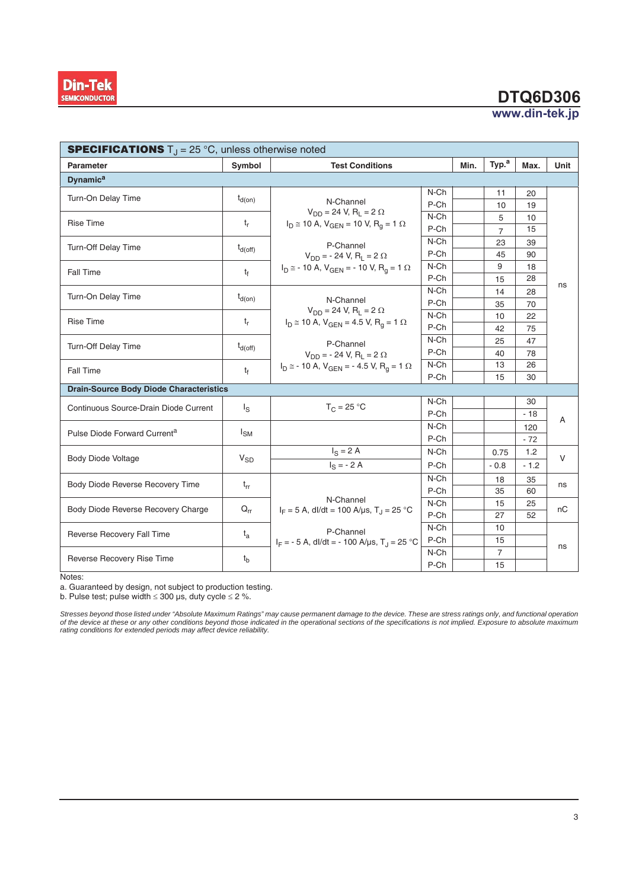

## **DTQ6D306**

www.din-tek.jp

| <b>SPECIFICATIONS</b> $T_J = 25^{\circ}C$ , unless otherwise noted |                     |                                                                    |      |      |                   |        |      |  |  |  |  |
|--------------------------------------------------------------------|---------------------|--------------------------------------------------------------------|------|------|-------------------|--------|------|--|--|--|--|
| <b>Parameter</b>                                                   | Symbol              | <b>Test Conditions</b>                                             |      | Min. | Typ. <sup>a</sup> | Max.   | Unit |  |  |  |  |
| <b>Dynamic<sup>a</sup></b>                                         |                     |                                                                    |      |      |                   |        |      |  |  |  |  |
| Turn-On Delay Time                                                 | $t_{d(on)}$         |                                                                    | N-Ch |      | 11                | 20     |      |  |  |  |  |
|                                                                    |                     | N-Channel<br>$V_{DD} = 24$ V, R <sub>1</sub> = 2 $\Omega$          | P-Ch |      | 10                | 19     |      |  |  |  |  |
| <b>Rise Time</b>                                                   | $t_{r}$             | $I_D \cong 10$ A, $V_{GEN} = 10$ V, $R_q = 1$ $\Omega$             | N-Ch |      | 5                 | 10     | ns   |  |  |  |  |
|                                                                    |                     |                                                                    | P-Ch |      | $\overline{7}$    | 15     |      |  |  |  |  |
| Turn-Off Delay Time                                                | $t_{d(\text{off})}$ | P-Channel                                                          | N-Ch |      | 23                | 39     |      |  |  |  |  |
|                                                                    |                     | $V_{DD}$ = - 24 V, R <sub>1</sub> = 2 $\Omega$                     | P-Ch |      | 45                | 90     |      |  |  |  |  |
| Fall Time                                                          | $t_f$               | $I_D \approx -10 A$ , $V_{GEN} = -10 V$ , $R_q = 1 \Omega$         | N-Ch |      | 9                 | 18     |      |  |  |  |  |
|                                                                    |                     |                                                                    | P-Ch |      | 15                | 28     |      |  |  |  |  |
| Turn-On Delay Time                                                 | $t_{d(on)}$         | N-Channel                                                          | N-Ch |      | 14                | 28     |      |  |  |  |  |
|                                                                    |                     | $V_{DD} = 24$ V, R <sub>1</sub> = 2 $\Omega$                       | P-Ch |      | 35                | 70     |      |  |  |  |  |
| <b>Rise Time</b>                                                   | $t_{r}$             | $I_D \cong 10$ A, $V_{GEN} = 4.5$ V, $R_q = 1$ $\Omega$            | N-Ch |      | 10                | 22     |      |  |  |  |  |
|                                                                    |                     |                                                                    | P-Ch |      | 42                | 75     |      |  |  |  |  |
| Turn-Off Delay Time                                                | $t_{d(\text{off})}$ | P-Channel                                                          | N-Ch |      | 25                | 47     |      |  |  |  |  |
|                                                                    |                     | $V_{DD}$ = - 24 V, R <sub>1</sub> = 2 $\Omega$                     | P-Ch |      | 40                | 78     |      |  |  |  |  |
| Fall Time                                                          | $t_f$               | $I_D \approx -10 A$ , $V_{GEN} = -4.5 V$ , $R_q = 1 \Omega$        | N-Ch |      | 13                | 26     |      |  |  |  |  |
|                                                                    |                     |                                                                    | P-Ch |      | 15                | 30     |      |  |  |  |  |
| <b>Drain-Source Body Diode Characteristics</b>                     |                     |                                                                    |      |      |                   |        |      |  |  |  |  |
| Continuous Source-Drain Diode Current                              | $\lg$               | $T_C = 25 °C$                                                      | N-Ch |      |                   | 30     | Α    |  |  |  |  |
|                                                                    |                     |                                                                    | P-Ch |      |                   | $-18$  |      |  |  |  |  |
| Pulse Diode Forward Current <sup>a</sup>                           | $I_{SM}$            |                                                                    | N-Ch |      |                   | 120    |      |  |  |  |  |
|                                                                    |                     |                                                                    | P-Ch |      |                   | $-72$  |      |  |  |  |  |
| <b>Body Diode Voltage</b>                                          | $V_{SD}$            | $I_S = 2 A$                                                        | N-Ch |      | 0.75              | 1.2    | V    |  |  |  |  |
|                                                                    |                     | $I_S = -2A$                                                        | P-Ch |      | $-0.8$            | $-1.2$ |      |  |  |  |  |
| Body Diode Reverse Recovery Time                                   | $t_{rr}$            |                                                                    | N-Ch |      | 18                | 35     | ns   |  |  |  |  |
|                                                                    |                     |                                                                    | P-Ch |      | 35                | 60     |      |  |  |  |  |
| Body Diode Reverse Recovery Charge                                 | $Q_{rr}$            | N-Channel<br>$I_F = 5$ A, dl/dt = 100 A/µs, T <sub>J</sub> = 25 °C | N-Ch |      | 15                | 25     | nС   |  |  |  |  |
|                                                                    |                     |                                                                    | P-Ch |      | 27                | 52     |      |  |  |  |  |
| Reverse Recovery Fall Time                                         |                     | P-Channel                                                          | N-Ch |      | 10                |        |      |  |  |  |  |
|                                                                    | $t_{a}$             | $I_F = -5$ A, dl/dt = -100 A/µs, T <sub>J</sub> = 25 °C            | P-Ch |      | 15                |        | ns   |  |  |  |  |
| Reverse Recovery Rise Time                                         |                     |                                                                    |      |      | $\overline{7}$    |        |      |  |  |  |  |
|                                                                    | $t_{b}$             |                                                                    | P-Ch |      | 15                |        |      |  |  |  |  |

Notes:

a. Guaranteed by design, not subject to production testing.

b. Pulse test; pulse width  $\leq 300$  μs, duty cycle  $\leq 2$  %.

Stresses beyond those listed under "Absolute Maximum Ratings" may cause permanent damage to the device. These are stress ratings only, and functional operation<br>of the device at these or any other conditions beyond those in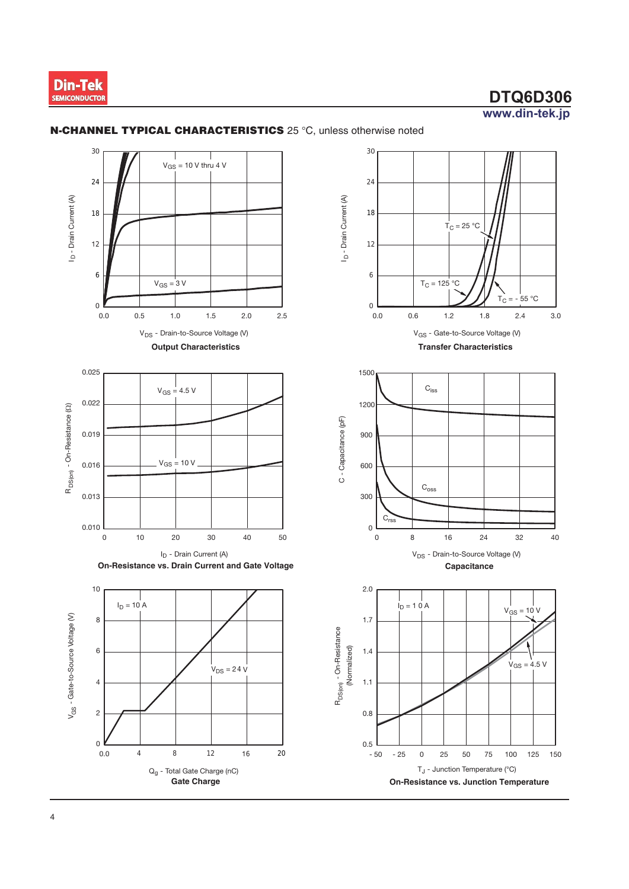

 $-55 °C$  $T_C =$ 

 $3.0$ 

 $2.4$ 

 $T_C = 25 °C$ 

 $T_C = 125 °C$ 

 $\mathsf{C}_{\mathsf{iss}}$ 

 $\mathrm{C}_{\mathrm{oss}}$ 

 $16$ 

24

V<sub>DS</sub> - Drain-to-Source Voltage (V)

Capacitance

32

 $V_{GS}$  = 10 V

 $V_{GS} = 4.5 V$ 

125 150

40

 $\,8\,$ 

 $\mathsf{O}\xspace$ 

25

50

T<sub>J</sub> - Junction Temperature (°C)

75

100

 $1.2$ 

 $1.8$ 

V<sub>GS</sub> - Gate-to-Source Voltage (V)

**Transfer Characteristics** 

 $0.6$ 



#### N-CHANNEL TYPICAL CHARACTERISTICS 25 °C, unless otherwise noted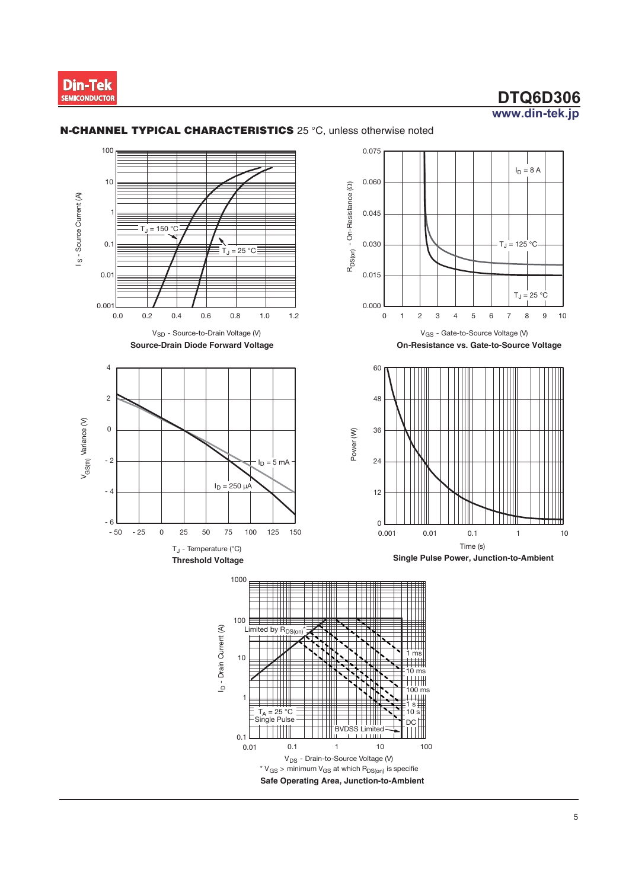

۰c

 $\,$  8  $\,$  $\boldsymbol{9}$  $10$ 

 $\circ$ C

 $10$ 



#### N-CHANNEL TYPICAL CHARACTERISTICS 25 °C, unless otherwise noted

V<sub>DS</sub> - Drain-to-Source Voltage (V) \*  $V_{GS}$  > minimum  $V_{GS}$  at which  $R_{DS(0n)}$  is specifie Safe Operating Area, Junction-to-Ambient

 $\mathbf{1}$ 

 $10$ 

100

 $0.01$ 

 $0.1$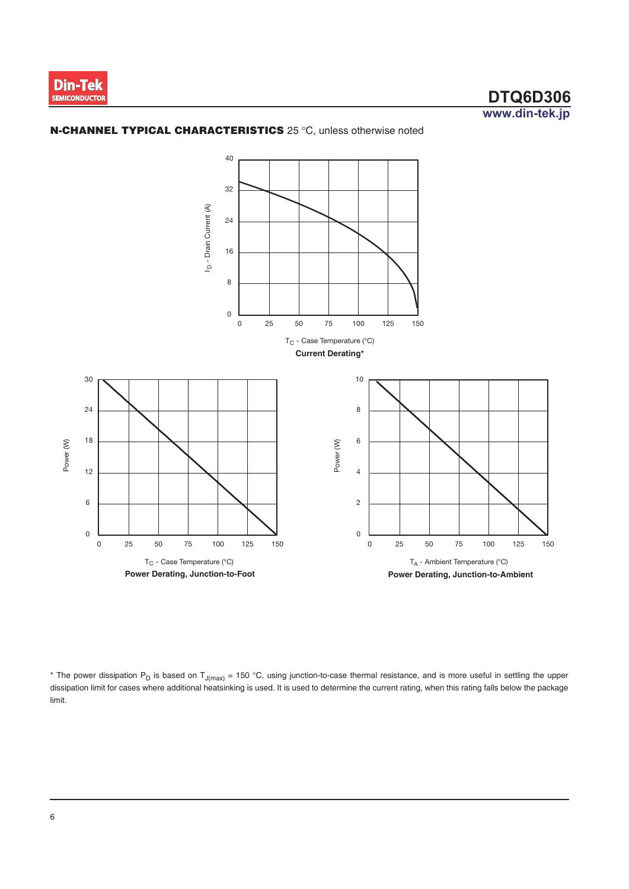





\* The power dissipation P<sub>D</sub> is based on T<sub>J(max)</sub> = 150 °C, using junction-to-case thermal resistance, and is more useful in settling the upper dissipation limit for cases where additional heatsinking is used. It is used to determine the current rating, when this rating falls below the package limit.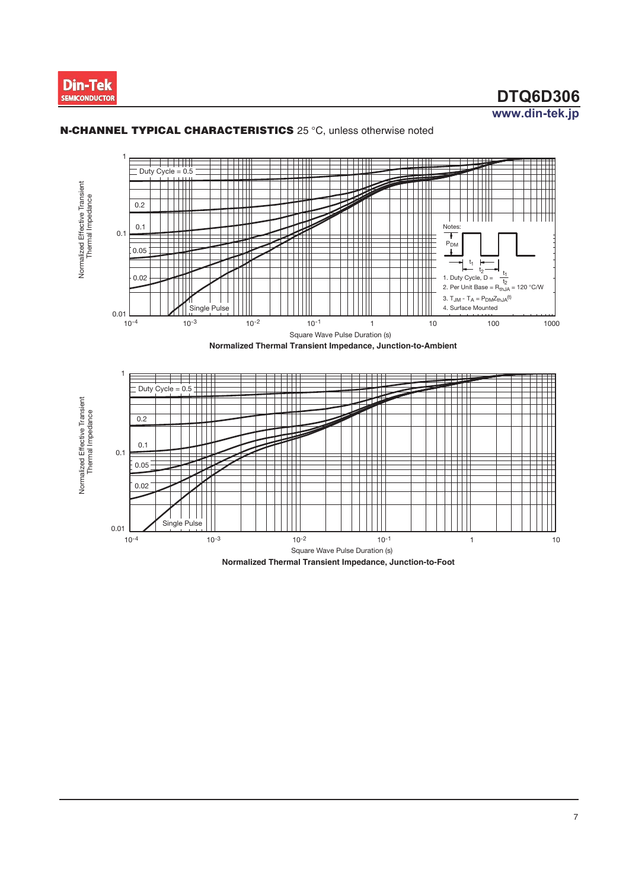



#### N-CHANNEL TYPICAL CHARACTERISTICS 25 °C, unless otherwise noted

Normalized Thermal Transient Impedance, Junction-to-Foot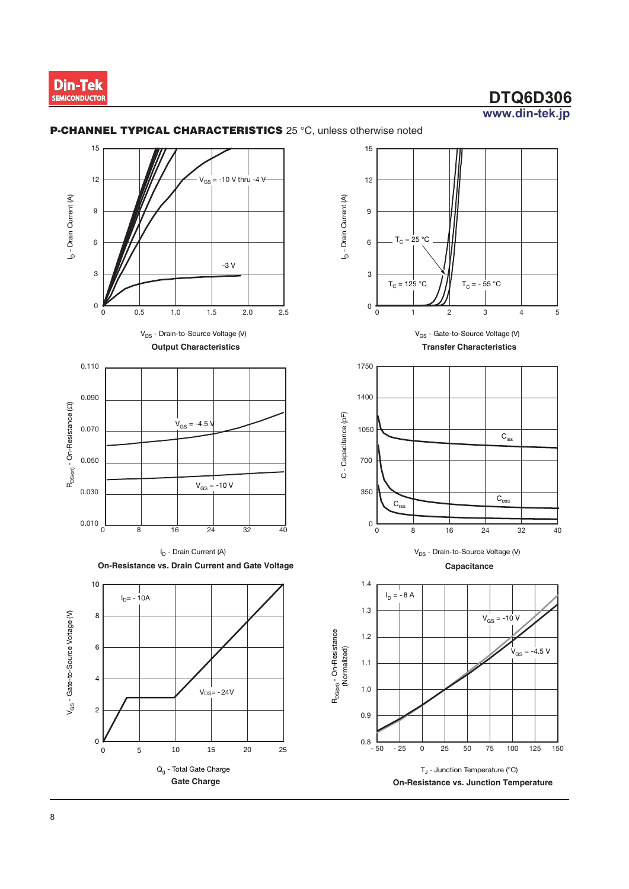

 $\overline{3}$ 

 $\overline{4}$ 

 $C_{\text{iss}}$ 

 $\overline{C}_{\mathrm{oss}}$ 

 $V_{GS} = -10 V$ 

32

 $V_{GS} = -4.5 V$ 

 $\frac{100}{100}$ 

125

150

75

40

 $24$ 

 $\overline{5}$ 



#### P-CHANNEL TYPICAL CHARACTERISTICS 25 °C, unless otherwise noted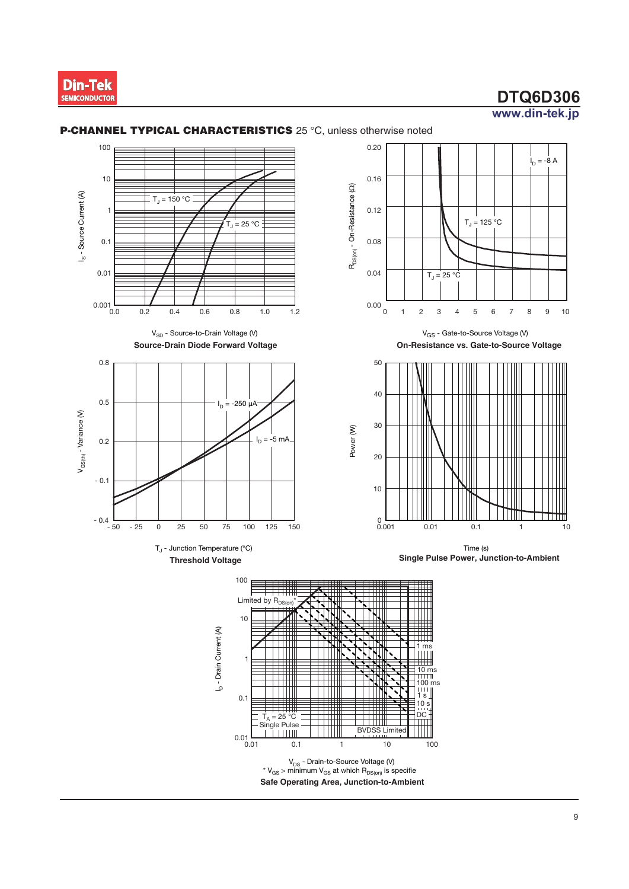



#### **P-CHANNEL TYPICAL CHARACTERISTICS** 25 °C, unless otherwise noted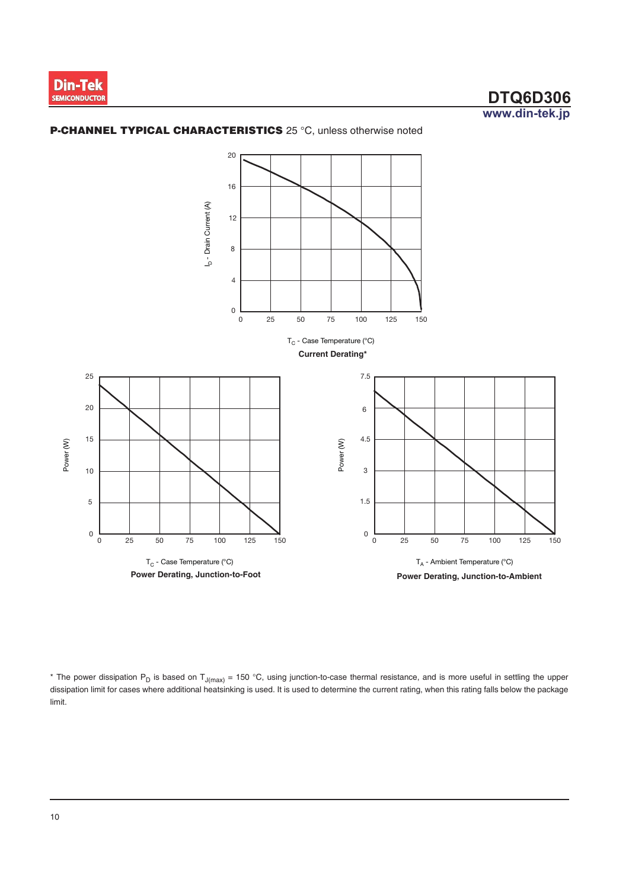





\* The power dissipation P<sub>D</sub> is based on T<sub>J(max)</sub> = 150 °C, using junction-to-case thermal resistance, and is more useful in settling the upper dissipation limit for cases where additional heatsinking is used. It is used to determine the current rating, when this rating falls below the package limit.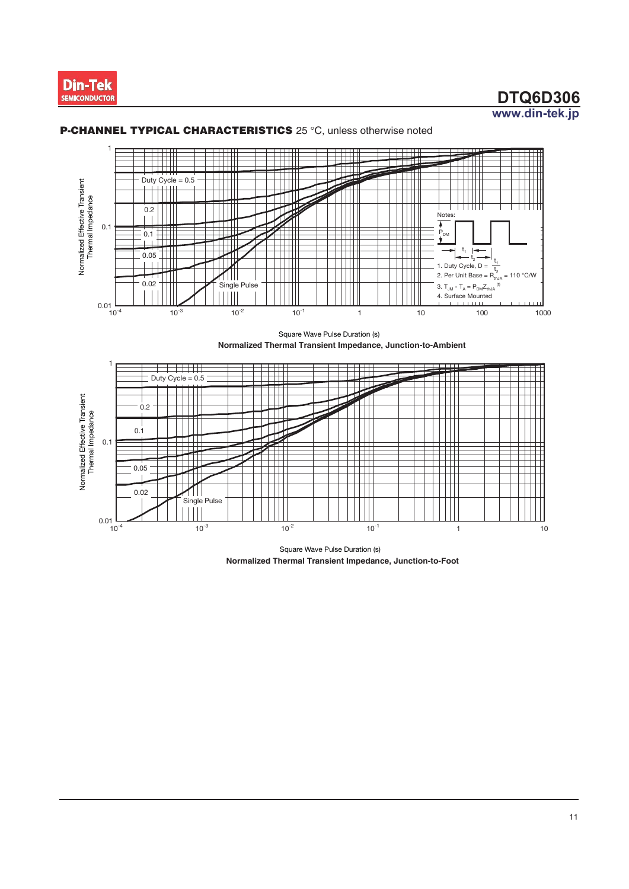



#### **P-CHANNEL TYPICAL CHARACTERISTICS** 25 °C, unless otherwise noted

Square Wave Pulse Duration (s) Normalized Thermal Transient Impedance, Junction-to-Ambient



Square Wave Pulse Duration (s) Normalized Thermal Transient Impedance, Junction-to-Foot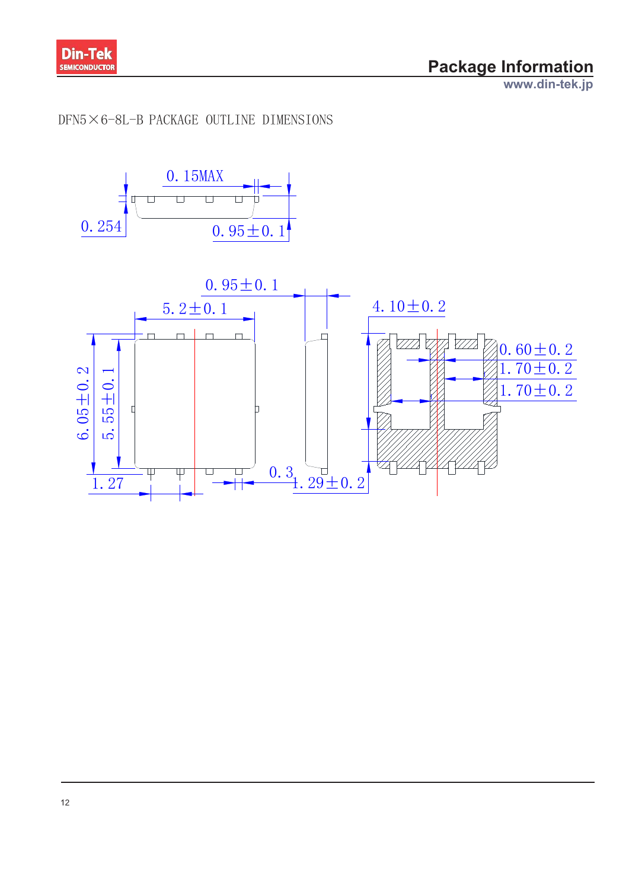

www.din-tek.jp

## $DFN5 \times 6 - 8L - B$  PACKAGE OUTLINE DIMENSIONS